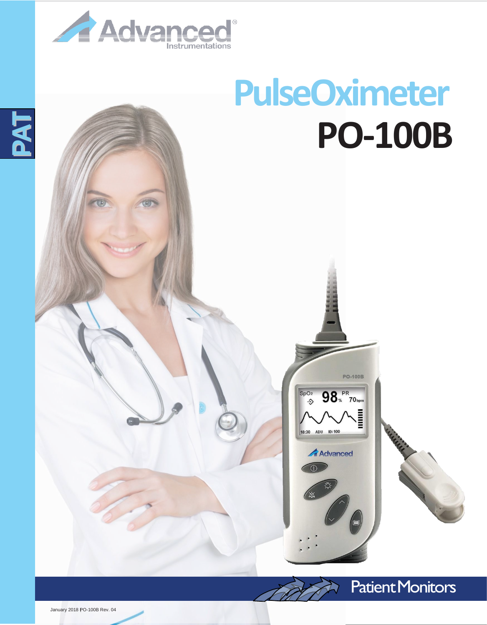

## **PulseOximeter PO-100B**

**PO-100B** 

98. PR<br>70<sub>hpm</sub>

ADU ID:100

**Advanced** 

 $\frac{\text{SpO}_2}{\text{D}}$ 

 $18:30$ 





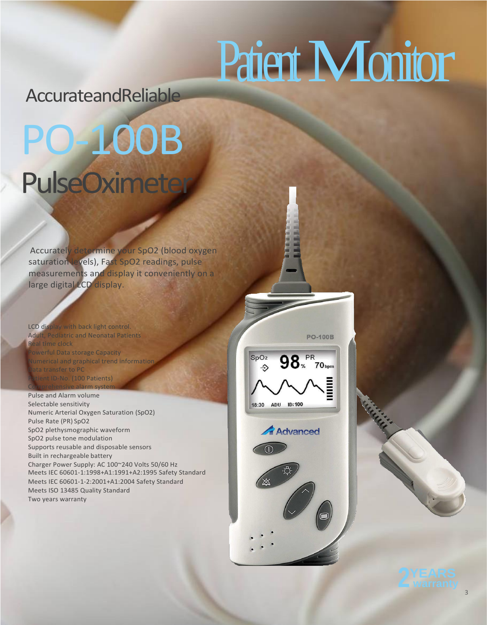## Patient Monitor

AccurateandReliable

## PO-100B PulseOximeter

Accurately determine your SpO2 (blood oxygen saturation levels), Fast SpO2 readings, pulse measurements and display it conveniently on a large digital LCD display.

LCD display with back light control. Adult, Pediatric and Neonatal Patients al time clock **Prful Data storage Capacity** umerical and graphical trend information ata transfer to PC tient ID-No. (100 Patients) Comprehensive alarm system

Pulse and Alarm volume Selectable sensitivity Numeric Arterial Oxygen Saturation (SpO2) Pulse Rate (PR) SpO2 SpO2 plethysmographic waveform SpO2 pulse tone modulation Supports reusable and disposable sensors Built in rechargeable battery Charger Power Supply: AC 100~240 Volts 50/60 Hz Meets IEC 60601-1:1998+A1:1991+A2:1995 Safety Standard Meets IEC 60601-1-2:2001+A1:2004 Safety Standard Meets ISO 13485 Quality Standard Two years warranty







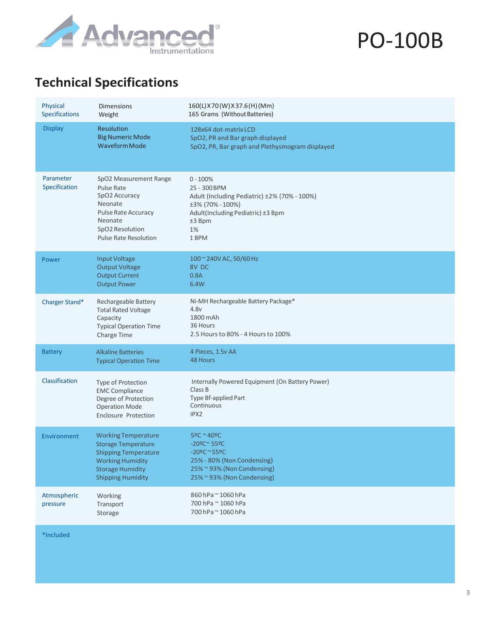

PO-100B

## **Technical Specifications**

| Physical<br>Specifications | <b>Dimensions</b><br>Weight                                                                                                                                               | 160(L) X70(W) X37.6(H)(Mm)<br>165 Grams (Without Batteries)                                                                                                                                            |
|----------------------------|---------------------------------------------------------------------------------------------------------------------------------------------------------------------------|--------------------------------------------------------------------------------------------------------------------------------------------------------------------------------------------------------|
| <b>Display</b>             | Resolution<br><b>Big Numeric Mode</b><br><b>Waveform Mode</b>                                                                                                             | 128x64 dot-matrix LCD<br>SpO2, PR and Bar graph displayed<br>SpO2, PR, Bar graph and Plethysmogram displayed                                                                                           |
| Parameter<br>Specification | SpO2 Measurement Range<br><b>Pulse Rate</b><br>SpO2 Accuracy<br>Neonate<br>Pulse Rate Accuracy<br>Neonate<br>SpO2 Resolution<br><b>Pulse Rate Resolution</b>              | $0 - 100%$<br>25 - 300 BPM<br>Adult (Including Pediatric) ±2% (70% - 100%)<br>±3% (70% - 100%)<br>Adult(Including Pediatric) ±3 Bpm<br>±3 Bpm<br>1%<br>1 BPM                                           |
| Power                      | <b>Input Voltage</b><br><b>Output Voltage</b><br><b>Output Current</b><br><b>Output Power</b>                                                                             | 100 ~ 240V AC, 50/60 Hz<br>8V DC<br>0.8A<br>6.4W                                                                                                                                                       |
| Charger Stand*             | Rechargeable Battery<br><b>Total Rated Voltage</b><br>Capacity<br><b>Typical Operation Time</b><br>Charge Time                                                            | Ni-MH Rechargeable Battery Package*<br>4.8v<br>1800 mAh<br>36 Hours<br>2.5 Hours to 80% - 4 Hours to 100%                                                                                              |
| <b>Battery</b>             | <b>Alkaline Batteries</b><br><b>Typical Operation Time</b>                                                                                                                | 4 Pieces, 1.5v AA<br>48 Hours                                                                                                                                                                          |
| Classification             | Type of Protection<br><b>EMC Compliance</b><br>Degree of Protection<br><b>Operation Mode</b><br><b>Enclosure Protection</b>                                               | Internally Powered Equipment (On Battery Power)<br>Class B<br>Type Bf-applied Part<br>Continuous<br>IPX2                                                                                               |
| Environment                | <b>Working Temperature</b><br><b>Storage Temperature</b><br><b>Shipping Temperature</b><br><b>Working Humidity</b><br><b>Storage Humidity</b><br><b>Shipping Humidity</b> | 5ºC ~40ºC<br>$-20$ <sup>o</sup> C <sup>~</sup> 55 <sup>o</sup> C<br>$-20$ <sup>o</sup> C ~ 55 <sup>o</sup> C<br>25% - 80% (Non Condensing)<br>25% ~ 93% (Non Condensing)<br>25% ~ 93% (Non Condensing) |
| Atmospheric<br>pressure    | Working<br>Transport<br>Storage                                                                                                                                           | 860 hPa ~ 1060 hPa<br>700 hPa ~ 1060 hPa<br>700 hPa ~ 1060 hPa                                                                                                                                         |

\*Included